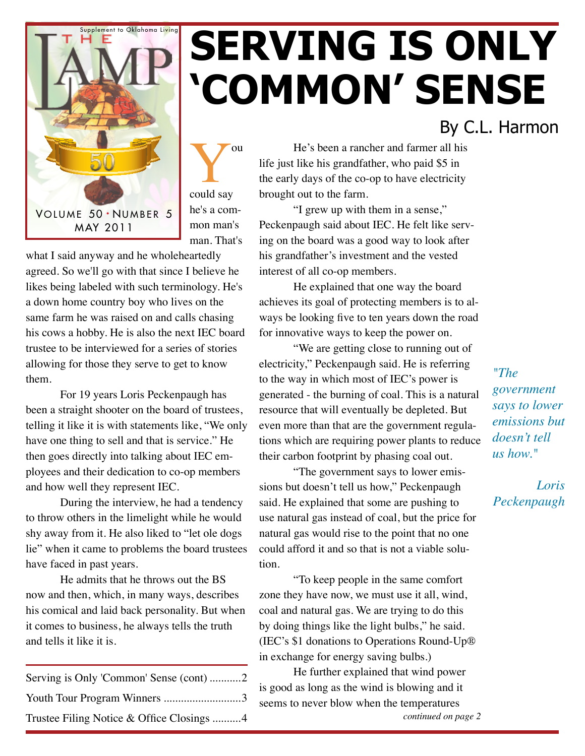

## You could say he's a common man's man. That's

what I said anyway and he wholeheartedly agreed. So we'll go with that since I believe he likes being labeled with such terminology. He's a down home country boy who lives on the same farm he was raised on and calls chasing his cows a hobby. He is also the next IEC board trustee to be interviewed for a series of stories allowing for those they serve to get to know them.

For 19 years Loris Peckenpaugh has been a straight shooter on the board of trustees, telling it like it is with statements like, "We only have one thing to sell and that is service." He then goes directly into talking about IEC employees and their dedication to co-op members and how well they represent IEC.

During the interview, he had a tendency to throw others in the limelight while he would shy away from it. He also liked to "let ole dogs lie" when it came to problems the board trustees have faced in past years.

He admits that he throws out the BS now and then, which, in many ways, describes his comical and laid back personality. But when it comes to business, he always tells the truth and tells it like it is.

| Serving is Only 'Common' Sense (cont) 2   |  |
|-------------------------------------------|--|
| Youth Tour Program Winners 3              |  |
| Trustee Filing Notice & Office Closings 4 |  |

He's been a rancher and farmer all his life just like his grandfather, who paid \$5 in the early days of the co-op to have electricity brought out to the farm.

**'Common' Sense**

"I grew up with them in a sense," Peckenpaugh said about IEC. He felt like serving on the board was a good way to look after his grandfather's investment and the vested interest of all co-op members.

He explained that one way the board achieves its goal of protecting members is to always be looking five to ten years down the road for innovative ways to keep the power on.

"We are getting close to running out of electricity," Peckenpaugh said. He is referring to the way in which most of IEC's power is generated - the burning of coal. This is a natural resource that will eventually be depleted. But even more than that are the government regulations which are requiring power plants to reduce their carbon footprint by phasing coal out.

"The government says to lower emissions but doesn't tell us how," Peckenpaugh said. He explained that some are pushing to use natural gas instead of coal, but the price for natural gas would rise to the point that no one could afford it and so that is not a viable solution.

"To keep people in the same comfort zone they have now, we must use it all, wind, coal and natural gas. We are trying to do this by doing things like the light bulbs," he said. (IEC's \$1 donations to Operations Round-Up® in exchange for energy saving bulbs.)

He further explained that wind power is good as long as the wind is blowing and it seems to never blow when the temperatures *continued on page 2*

### *"The government says to lower emissions but*

By C.L. Harmon

*doesn't tell us how."*

*Loris Peckenpaugh*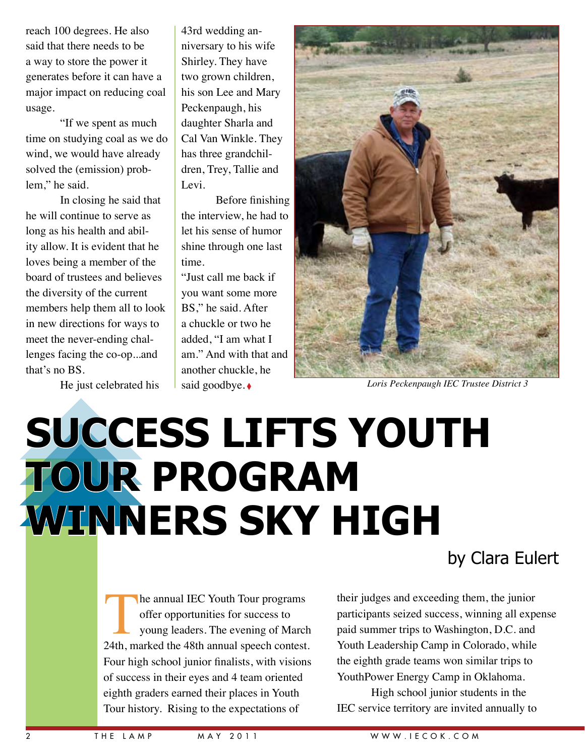reach 100 degrees. He also said that there needs to be a way to store the power it generates before it can have a major impact on reducing coal usage.

"If we spent as much time on studying coal as we do wind, we would have already solved the (emission) problem," he said.

In closing he said that he will continue to serve as long as his health and ability allow. It is evident that he loves being a member of the board of trustees and believes the diversity of the current members help them all to look in new directions for ways to meet the never-ending challenges facing the co-op...and that's no BS.

He just celebrated his

43rd wedding anniversary to his wife Shirley. They have two grown children, his son Lee and Mary Peckenpaugh, his daughter Sharla and Cal Van Winkle. They has three grandchildren, Trey, Tallie and Levi.

Before finishing the interview, he had to let his sense of humor shine through one last time.

"Just call me back if you want some more BS," he said. After a chuckle or two he added, "I am what I am." And with that and another chuckle, he said goodbye.♦



*Loris Peckenpaugh IEC Trustee District 3*

# **Success Lifts Youth Tour Program WINNERS SKY HIGH**

he annual IEC Youth Tour programs offer opportunities for success to young leaders. The evening of March 24th, marked the 48th annual speech contest. Four high school junior finalists, with visions of success in their eyes and 4 team oriented eighth graders earned their places in Youth Tour history. Rising to the expectations of

#### by Clara Eulert

their judges and exceeding them, the junior participants seized success, winning all expense paid summer trips to Washington, D.C. and Youth Leadership Camp in Colorado, while the eighth grade teams won similar trips to YouthPower Energy Camp in Oklahoma.

High school junior students in the IEC service territory are invited annually to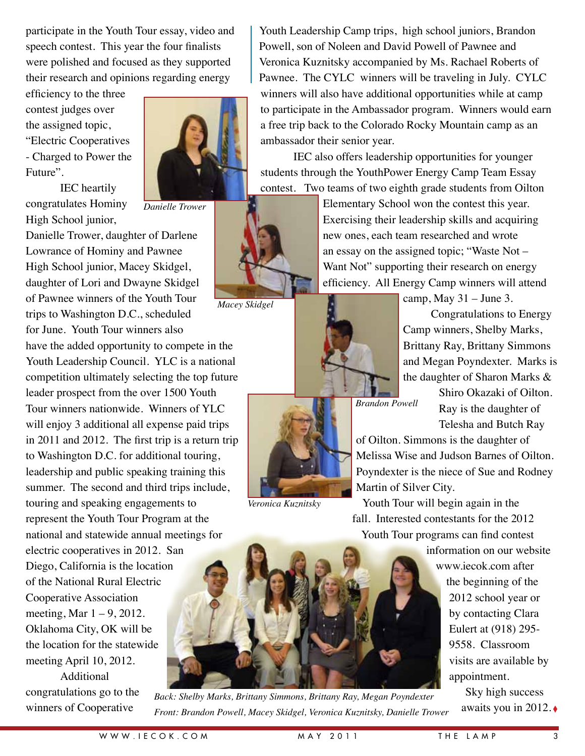participate in the Youth Tour essay, video and speech contest. This year the four finalists were polished and focused as they supported their research and opinions regarding energy

efficiency to the three contest judges over the assigned topic, "Electric Cooperatives - Charged to Power the Future".



*Danielle Trower*

IEC heartily congratulates Hominy High School junior,

Danielle Trower, daughter of Darlene Lowrance of Hominy and Pawnee High School junior, Macey Skidgel, daughter of Lori and Dwayne Skidgel of Pawnee winners of the Youth Tour trips to Washington D.C., scheduled for June. Youth Tour winners also

have the added opportunity to compete in the Youth Leadership Council. YLC is a national competition ultimately selecting the top future leader prospect from the over 1500 Youth Tour winners nationwide. Winners of YLC will enjoy 3 additional all expense paid trips in 2011 and 2012. The first trip is a return trip to Washington D.C. for additional touring, leadership and public speaking training this summer. The second and third trips include, touring and speaking engagements to represent the Youth Tour Program at the national and statewide annual meetings for electric cooperatives in 2012. San Diego, California is the location of the National Rural Electric Cooperative Association meeting, Mar  $1 - 9$ , 2012. Oklahoma City, OK will be the location for the statewide meeting April 10, 2012.

Additional congratulations go to the winners of Cooperative

Youth Leadership Camp trips, high school juniors, Brandon Powell, son of Noleen and David Powell of Pawnee and Veronica Kuznitsky accompanied by Ms. Rachael Roberts of Pawnee. The CYLC winners will be traveling in July. CYLC winners will also have additional opportunities while at camp to participate in the Ambassador program. Winners would earn a free trip back to the Colorado Rocky Mountain camp as an ambassador their senior year.

IEC also offers leadership opportunities for younger students through the YouthPower Energy Camp Team Essay contest. Two teams of two eighth grade students from Oilton



*Macey Skidgel*



Elementary School won the contest this year. Exercising their leadership skills and acquiring new ones, each team researched and wrote an essay on the assigned topic; "Waste Not – Want Not" supporting their research on energy efficiency. All Energy Camp winners will attend

> camp, May  $31 -$ June 3. Congratulations to Energy Camp winners, Shelby Marks, Brittany Ray, Brittany Simmons and Megan Poyndexter. Marks is the daughter of Sharon Marks &

*Brandon Powell*

Shiro Okazaki of Oilton. Ray is the daughter of Telesha and Butch Ray

of Oilton. Simmons is the daughter of Melissa Wise and Judson Barnes of Oilton. Poyndexter is the niece of Sue and Rodney Martin of Silver City.

Youth Tour will begin again in the fall. Interested contestants for the 2012 Youth Tour programs can find contest

information on our website

www.iecok.com after the beginning of the 2012 school year or by contacting Clara Eulert at (918) 295- 9558. Classroom visits are available by appointment.

> Sky high success awaits you in 2012. ◊



*Veronica Kuznitsky*

*Back: Shelby Marks, Brittany Simmons, Brittany Ray, Megan Poyndexter Front: Brandon Powell, Macey Skidgel, Veronica Kuznitsky, Danielle Trower*